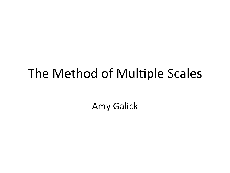### The Method of Multiple Scales

Amy Galick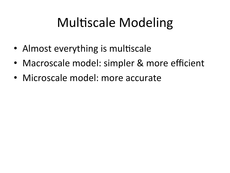# Multiscale Modeling

- Almost everything is multiscale
- Macroscale model: simpler & more efficient
- Microscale model: more accurate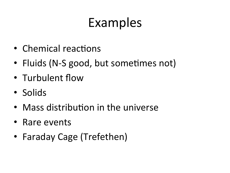## Examples

- Chemical reactions
- Fluids (N-S good, but sometimes not)
- Turbulent flow
- Solids
- $\bullet$  Mass distribution in the universe
- Rare events
- Faraday Cage (Trefethen)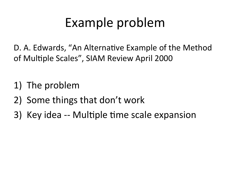## Example problem

D. A. Edwards, "An Alternative Example of the Method of Multiple Scales", SIAM Review April 2000

- 1) The problem
- 2) Some things that don't work
- 3) Key idea -- Multiple time scale expansion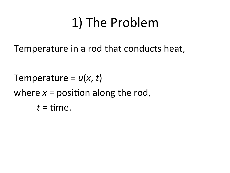Temperature in a rod that conducts heat,

Temperature =  $u(x, t)$ where  $x =$  position along the rod,  $t =$  time.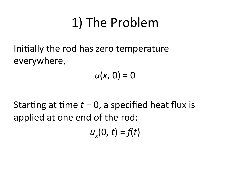Initially the rod has zero temperature everywhere, 

 $u(x, 0) = 0$ 

Starting at time  $t = 0$ , a specified heat flux is applied at one end of the rod:

 $u_{x}(0, t) = f(t)$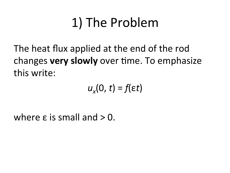The heat flux applied at the end of the rod changes **very slowly** over time. To emphasize this write:

 $u_x(0, t) = f(\epsilon t)$ 

where  $\epsilon$  is small and  $> 0$ .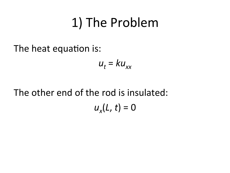The heat equation is:

$$
u_t = k u_{xx}
$$

The other end of the rod is insulated:

 $u_x(L, t) = 0$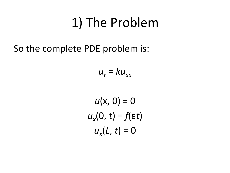So the complete PDE problem is:

$$
u_t = k u_{xx}
$$

 $u(x, 0) = 0$  $u_x(0, t) = f(\epsilon t)$  $u_x(L, t) = 0$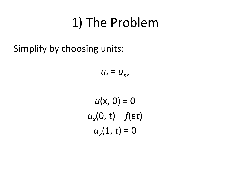Simplify by choosing units:

$$
u_t = u_{xx}
$$

 $u(x, 0) = 0$  $u_x(0, t) = f(\epsilon t)$  $u_x(1, t) = 0$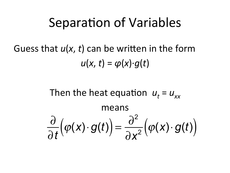#### Guess that  $u(x, t)$  can be written in the form  $u(x, t) = \varphi(x) \cdot q(t)$

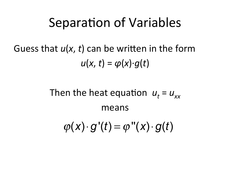Guess that  $u(x, t)$  can be written in the form  $u(x, t) = \varphi(x) \cdot q(t)$ 

> Then the heat equation  $u_t = u_{xx}$ means  $\varphi(x) \cdot g'(t) = \varphi''(x) \cdot g(t)$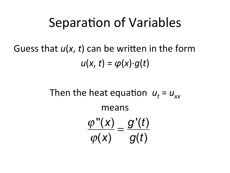Guess that  $u(x, t)$  can be written in the form  $u(x, t) = \varphi(x) \cdot q(t)$ 

> Then the heat equation  $u_t = u_{xx}$ means  $\frac{\varphi''(x)}{x} = \frac{g'(t)}{y}$  $\varphi(x)$   $g(t)$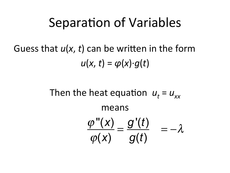#### Guess that  $u(x, t)$  can be written in the form  $u(x, t) = \varphi(x) \cdot q(t)$

Then the heat equation  $u_t = u_{xx}$ means  $\varphi''(x)$  $\varphi(x)$  $= \frac{g'(t)}{t}$ *g*(*t*)  $=-\lambda$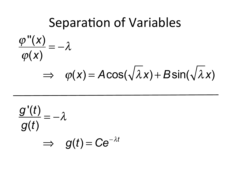**Separation of Variables**  $\frac{\varphi''(x)}{\varphi(x)} = -\lambda$  $\Rightarrow \varphi(x) = A\cos(\sqrt{\lambda}x) + B\sin(\sqrt{\lambda}x)$ 

$$
\frac{g'(t)}{g(t)} = -\lambda
$$
  

$$
\implies g(t) = Ce^{-\lambda t}
$$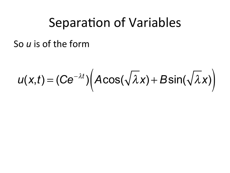So u is of the form

$$
u(x,t)=(Ce^{-\lambda t})\Big(A\cos(\sqrt{\lambda}x)+B\sin(\sqrt{\lambda}x)\Big)
$$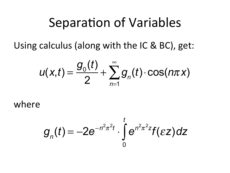Using calculus (along with the IC & BC), get:

$$
u(x,t) = \frac{g_0(t)}{2} + \sum_{n=1}^{\infty} g_n(t) \cdot \cos(n\pi x)
$$

where 

$$
g_n(t) = -2e^{-n^2\pi^2t} \cdot \int_0^t e^{n^2\pi^2t} f(\varepsilon z) dz
$$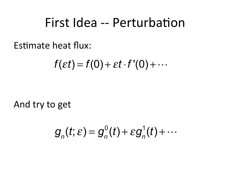#### First Idea -- Perturbation

Estimate heat flux:

$$
f(\varepsilon t)=f(0)+\varepsilon t\cdot f'(0)+\cdots
$$

And try to get

$$
g_n(t;\varepsilon)=g_n^0(t)+\varepsilon g_n^1(t)+\cdots
$$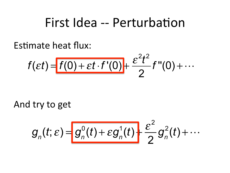#### First Idea -- Perturbation

Estimate heat flux:

$$
f(\varepsilon t) = \frac{f(0) + \varepsilon t \cdot f'(0)}{2} + \frac{\varepsilon^2 t^2}{2} f''(0) + \cdots
$$

And try to get

$$
g_n(t;\varepsilon) = g_n^0(t) + \varepsilon g_n^1(t) + \frac{\varepsilon^2}{2} g_n^2(t) + \cdots
$$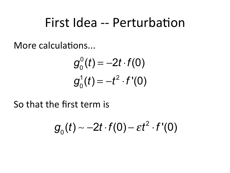### First Idea -- Perturbation

More calculations...

$$
g_0^0(t) = -2t \cdot f(0)
$$
  

$$
g_0^1(t) = -t^2 \cdot f'(0)
$$

So that the first term is

$$
g_0(t) \sim -2t \cdot f(0) - \varepsilon t^2 \cdot f'(0)
$$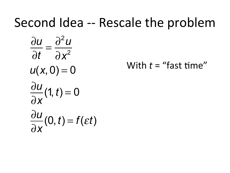### Second Idea -- Rescale the problem

$$
\frac{\partial u}{\partial t} = \frac{\partial^2 u}{\partial x^2}
$$
  
u(x, 0) = 0  

$$
\frac{\partial u}{\partial x}(1, t) = 0
$$
  

$$
\frac{\partial u}{\partial x}(0, t) = f(\varepsilon t)
$$

With  $t =$  "fast time"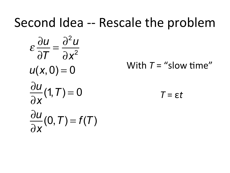### Second Idea -- Rescale the problem

$$
\varepsilon \frac{\partial u}{\partial T} = \frac{\partial^2 u}{\partial x^2}
$$
  
u(x, 0) = 0  

$$
\frac{\partial u}{\partial x}(1, T) = 0
$$
  

$$
\frac{\partial u}{\partial x}(0, T) = f(T)
$$

With  $T =$  "slow time"

 $T = \varepsilon t$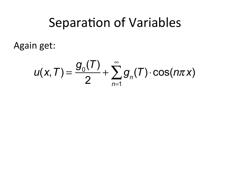Again get:

$$
u(x, T) = \frac{g_0(T)}{2} + \sum_{n=1}^{\infty} g_n(T) \cdot \cos(n\pi x)
$$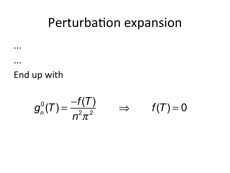### Perturbation expansion

End up with

 $\bullet\bullet\bullet$ 

 $\bullet$   $\bullet$   $\bullet$ 

$$
g_n^0(T) = \frac{-f(T)}{n^2 \pi^2} \qquad \Rightarrow \qquad f(T) = 0
$$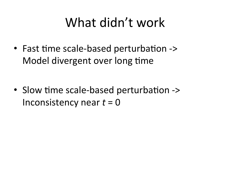## What didn't work

• Fast time scale-based perturbation -> Model divergent over long time

• Slow time scale-based perturbation -> Inconsistency near  $t = 0$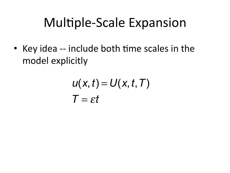## Multiple-Scale Expansion

• Key idea -- include both time scales in the model explicitly

$$
u(x, t) = U(x, t, T)
$$
  

$$
T = \varepsilon t
$$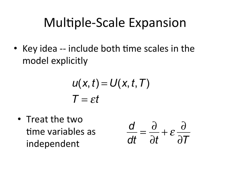## Multiple-Scale Expansion

• Key idea -- include both time scales in the model explicitly

$$
u(x, t) = U(x, t, T)
$$
  

$$
T = \varepsilon t
$$

• Treat the two time variables as independent 

$$
\frac{d}{dt} = \frac{\partial}{\partial t} + \varepsilon \frac{\partial}{\partial T}
$$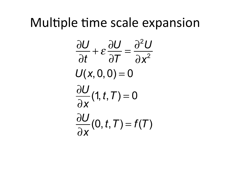#### Multiple time scale expansion

$$
\frac{\partial U}{\partial t} + \varepsilon \frac{\partial U}{\partial T} = \frac{\partial^2 U}{\partial x^2}
$$

$$
U(x, 0, 0) = 0
$$

$$
\frac{\partial U}{\partial x}(1, t, T) = 0
$$

$$
\frac{\partial U}{\partial x}(0, t, T) = f(T)
$$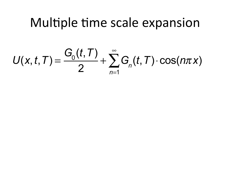#### Multiple time scale expansion

 $U(x, t, T) = \frac{G_0(t, T)}{2} + \sum_{n=1}^{\infty} G_n(t, T) \cdot \cos(n\pi x)$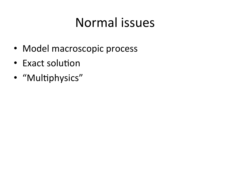## Normal issues

- Model macroscopic process
- Exact solution
- "Multiphysics"